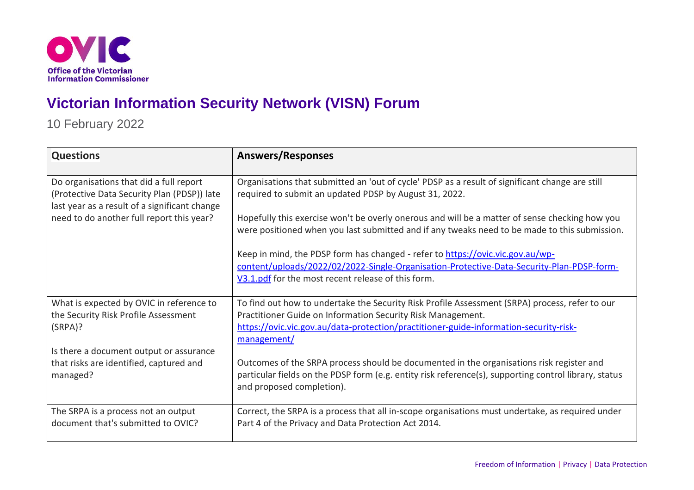

## **Victorian Information Security Network (VISN) Forum**

10 February 2022

| <b>Questions</b>                                                                                                                                                                     | <b>Answers/Responses</b>                                                                                                                                                                        |
|--------------------------------------------------------------------------------------------------------------------------------------------------------------------------------------|-------------------------------------------------------------------------------------------------------------------------------------------------------------------------------------------------|
| Do organisations that did a full report<br>(Protective Data Security Plan (PDSP)) late<br>last year as a result of a significant change<br>need to do another full report this year? | Organisations that submitted an 'out of cycle' PDSP as a result of significant change are still<br>required to submit an updated PDSP by August 31, 2022.                                       |
|                                                                                                                                                                                      | Hopefully this exercise won't be overly onerous and will be a matter of sense checking how you<br>were positioned when you last submitted and if any tweaks need to be made to this submission. |
|                                                                                                                                                                                      | Keep in mind, the PDSP form has changed - refer to https://ovic.vic.gov.au/wp-                                                                                                                  |
|                                                                                                                                                                                      | content/uploads/2022/02/2022-Single-Organisation-Protective-Data-Security-Plan-PDSP-form-                                                                                                       |
|                                                                                                                                                                                      | V3.1.pdf for the most recent release of this form.                                                                                                                                              |
| What is expected by OVIC in reference to                                                                                                                                             | To find out how to undertake the Security Risk Profile Assessment (SRPA) process, refer to our                                                                                                  |
| the Security Risk Profile Assessment                                                                                                                                                 | Practitioner Guide on Information Security Risk Management.                                                                                                                                     |
| (SRPA)?                                                                                                                                                                              | https://ovic.vic.gov.au/data-protection/practitioner-guide-information-security-risk-<br>management/                                                                                            |
| Is there a document output or assurance                                                                                                                                              |                                                                                                                                                                                                 |
| that risks are identified, captured and                                                                                                                                              | Outcomes of the SRPA process should be documented in the organisations risk register and                                                                                                        |
| managed?                                                                                                                                                                             | particular fields on the PDSP form (e.g. entity risk reference(s), supporting control library, status                                                                                           |
|                                                                                                                                                                                      | and proposed completion).                                                                                                                                                                       |
| The SRPA is a process not an output                                                                                                                                                  | Correct, the SRPA is a process that all in-scope organisations must undertake, as required under                                                                                                |
| document that's submitted to OVIC?                                                                                                                                                   | Part 4 of the Privacy and Data Protection Act 2014.                                                                                                                                             |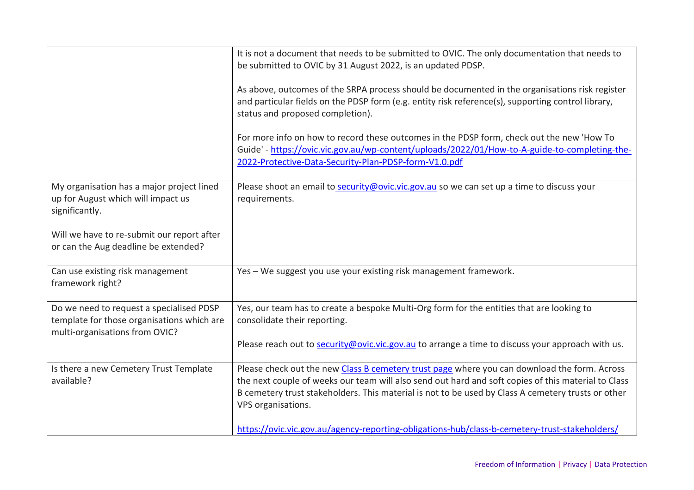|                                                                                                                                                                                         | It is not a document that needs to be submitted to OVIC. The only documentation that needs to<br>be submitted to OVIC by 31 August 2022, is an updated PDSP.<br>As above, outcomes of the SRPA process should be documented in the organisations risk register<br>and particular fields on the PDSP form (e.g. entity risk reference(s), supporting control library,<br>status and proposed completion).<br>For more info on how to record these outcomes in the PDSP form, check out the new 'How To<br>Guide' - https://ovic.vic.gov.au/wp-content/uploads/2022/01/How-to-A-guide-to-completing-the-<br>2022-Protective-Data-Security-Plan-PDSP-form-V1.0.pdf |
|-----------------------------------------------------------------------------------------------------------------------------------------------------------------------------------------|-----------------------------------------------------------------------------------------------------------------------------------------------------------------------------------------------------------------------------------------------------------------------------------------------------------------------------------------------------------------------------------------------------------------------------------------------------------------------------------------------------------------------------------------------------------------------------------------------------------------------------------------------------------------|
| My organisation has a major project lined<br>up for August which will impact us<br>significantly.<br>Will we have to re-submit our report after<br>or can the Aug deadline be extended? | Please shoot an email to security@ovic.vic.gov.au so we can set up a time to discuss your<br>requirements.                                                                                                                                                                                                                                                                                                                                                                                                                                                                                                                                                      |
| Can use existing risk management<br>framework right?                                                                                                                                    | Yes - We suggest you use your existing risk management framework.                                                                                                                                                                                                                                                                                                                                                                                                                                                                                                                                                                                               |
| Do we need to request a specialised PDSP<br>template for those organisations which are<br>multi-organisations from OVIC?                                                                | Yes, our team has to create a bespoke Multi-Org form for the entities that are looking to<br>consolidate their reporting.<br>Please reach out to security@ovic.vic.gov.au to arrange a time to discuss your approach with us.                                                                                                                                                                                                                                                                                                                                                                                                                                   |
| Is there a new Cemetery Trust Template<br>available?                                                                                                                                    | Please check out the new Class B cemetery trust page where you can download the form. Across<br>the next couple of weeks our team will also send out hard and soft copies of this material to Class<br>B cemetery trust stakeholders. This material is not to be used by Class A cemetery trusts or other<br>VPS organisations.<br>https://ovic.vic.gov.au/agency-reporting-obligations-hub/class-b-cemetery-trust-stakeholders/                                                                                                                                                                                                                                |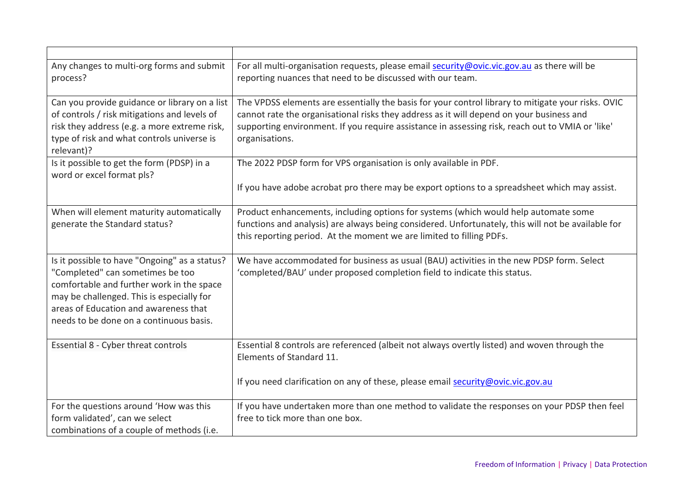| Any changes to multi-org forms and submit<br>process?                                                                                                                                                                                                           | For all multi-organisation requests, please email security@ovic.vic.gov.au as there will be<br>reporting nuances that need to be discussed with our team.                                                                                                                                                            |
|-----------------------------------------------------------------------------------------------------------------------------------------------------------------------------------------------------------------------------------------------------------------|----------------------------------------------------------------------------------------------------------------------------------------------------------------------------------------------------------------------------------------------------------------------------------------------------------------------|
| Can you provide guidance or library on a list<br>of controls / risk mitigations and levels of<br>risk they address (e.g. a more extreme risk,<br>type of risk and what controls universe is<br>relevant)?                                                       | The VPDSS elements are essentially the basis for your control library to mitigate your risks. OVIC<br>cannot rate the organisational risks they address as it will depend on your business and<br>supporting environment. If you require assistance in assessing risk, reach out to VMIA or 'like'<br>organisations. |
| Is it possible to get the form (PDSP) in a<br>word or excel format pls?                                                                                                                                                                                         | The 2022 PDSP form for VPS organisation is only available in PDF.<br>If you have adobe acrobat pro there may be export options to a spreadsheet which may assist.                                                                                                                                                    |
| When will element maturity automatically<br>generate the Standard status?                                                                                                                                                                                       | Product enhancements, including options for systems (which would help automate some<br>functions and analysis) are always being considered. Unfortunately, this will not be available for<br>this reporting period. At the moment we are limited to filling PDFs.                                                    |
| Is it possible to have "Ongoing" as a status?<br>"Completed" can sometimes be too<br>comfortable and further work in the space<br>may be challenged. This is especially for<br>areas of Education and awareness that<br>needs to be done on a continuous basis. | We have accommodated for business as usual (BAU) activities in the new PDSP form. Select<br>'completed/BAU' under proposed completion field to indicate this status.                                                                                                                                                 |
| Essential 8 - Cyber threat controls                                                                                                                                                                                                                             | Essential 8 controls are referenced (albeit not always overtly listed) and woven through the<br>Elements of Standard 11.<br>If you need clarification on any of these, please email security@ovic.vic.gov.au                                                                                                         |
| For the questions around 'How was this<br>form validated', can we select<br>combinations of a couple of methods (i.e.                                                                                                                                           | If you have undertaken more than one method to validate the responses on your PDSP then feel<br>free to tick more than one box.                                                                                                                                                                                      |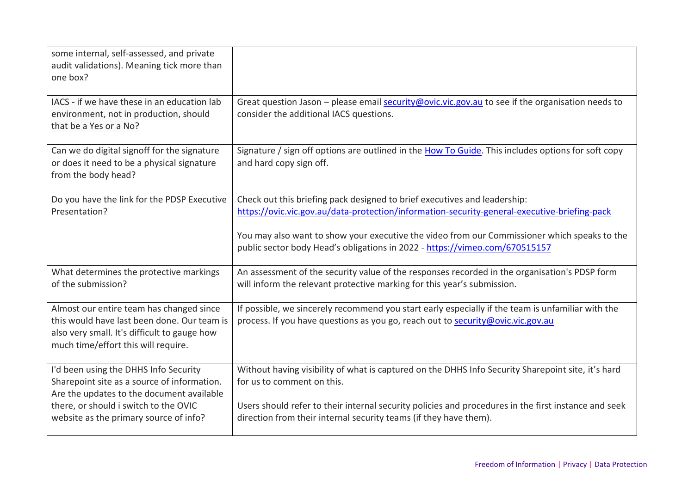| some internal, self-assessed, and private<br>audit validations). Meaning tick more than<br>one box?                                                                                                                  |                                                                                                                                                                                                                                                                                                                                                          |
|----------------------------------------------------------------------------------------------------------------------------------------------------------------------------------------------------------------------|----------------------------------------------------------------------------------------------------------------------------------------------------------------------------------------------------------------------------------------------------------------------------------------------------------------------------------------------------------|
| IACS - if we have these in an education lab<br>environment, not in production, should<br>that be a Yes or a No?                                                                                                      | Great question Jason - please email security@ovic.vic.gov.au to see if the organisation needs to<br>consider the additional IACS questions.                                                                                                                                                                                                              |
| Can we do digital signoff for the signature<br>or does it need to be a physical signature<br>from the body head?                                                                                                     | Signature / sign off options are outlined in the How To Guide. This includes options for soft copy<br>and hard copy sign off.                                                                                                                                                                                                                            |
| Do you have the link for the PDSP Executive<br>Presentation?                                                                                                                                                         | Check out this briefing pack designed to brief executives and leadership:<br>https://ovic.vic.gov.au/data-protection/information-security-general-executive-briefing-pack<br>You may also want to show your executive the video from our Commissioner which speaks to the<br>public sector body Head's obligations in 2022 - https://vimeo.com/670515157 |
| What determines the protective markings<br>of the submission?                                                                                                                                                        | An assessment of the security value of the responses recorded in the organisation's PDSP form<br>will inform the relevant protective marking for this year's submission.                                                                                                                                                                                 |
| Almost our entire team has changed since<br>this would have last been done. Our team is<br>also very small. It's difficult to gauge how<br>much time/effort this will require.                                       | If possible, we sincerely recommend you start early especially if the team is unfamiliar with the<br>process. If you have questions as you go, reach out to security@ovic.vic.gov.au                                                                                                                                                                     |
| I'd been using the DHHS Info Security<br>Sharepoint site as a source of information.<br>Are the updates to the document available<br>there, or should i switch to the OVIC<br>website as the primary source of info? | Without having visibility of what is captured on the DHHS Info Security Sharepoint site, it's hard<br>for us to comment on this.<br>Users should refer to their internal security policies and procedures in the first instance and seek<br>direction from their internal security teams (if they have them).                                            |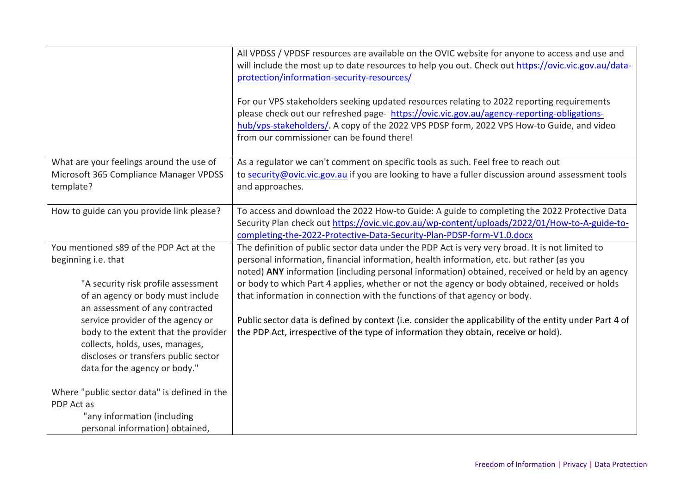|                                                                                                                                                                                       | All VPDSS / VPDSF resources are available on the OVIC website for anyone to access and use and<br>will include the most up to date resources to help you out. Check out https://ovic.vic.gov.au/data-<br>protection/information-security-resources/<br>For our VPS stakeholders seeking updated resources relating to 2022 reporting requirements<br>please check out our refreshed page- https://ovic.vic.gov.au/agency-reporting-obligations-<br>hub/vps-stakeholders/. A copy of the 2022 VPS PDSP form, 2022 VPS How-to Guide, and video<br>from our commissioner can be found there! |
|---------------------------------------------------------------------------------------------------------------------------------------------------------------------------------------|-------------------------------------------------------------------------------------------------------------------------------------------------------------------------------------------------------------------------------------------------------------------------------------------------------------------------------------------------------------------------------------------------------------------------------------------------------------------------------------------------------------------------------------------------------------------------------------------|
| What are your feelings around the use of<br>Microsoft 365 Compliance Manager VPDSS<br>template?                                                                                       | As a regulator we can't comment on specific tools as such. Feel free to reach out<br>to security@ovic.vic.gov.au if you are looking to have a fuller discussion around assessment tools<br>and approaches.                                                                                                                                                                                                                                                                                                                                                                                |
| How to guide can you provide link please?                                                                                                                                             | To access and download the 2022 How-to Guide: A guide to completing the 2022 Protective Data<br>Security Plan check out https://ovic.vic.gov.au/wp-content/uploads/2022/01/How-to-A-guide-to-<br>completing-the-2022-Protective-Data-Security-Plan-PDSP-form-V1.0.docx                                                                                                                                                                                                                                                                                                                    |
| You mentioned s89 of the PDP Act at the<br>beginning i.e. that<br>"A security risk profile assessment<br>of an agency or body must include<br>an assessment of any contracted         | The definition of public sector data under the PDP Act is very very broad. It is not limited to<br>personal information, financial information, health information, etc. but rather (as you<br>noted) ANY information (including personal information) obtained, received or held by an agency<br>or body to which Part 4 applies, whether or not the agency or body obtained, received or holds<br>that information in connection with the functions of that agency or body.                                                                                                             |
| service provider of the agency or<br>body to the extent that the provider<br>collects, holds, uses, manages,<br>discloses or transfers public sector<br>data for the agency or body." | Public sector data is defined by context (i.e. consider the applicability of the entity under Part 4 of<br>the PDP Act, irrespective of the type of information they obtain, receive or hold).                                                                                                                                                                                                                                                                                                                                                                                            |
| Where "public sector data" is defined in the<br>PDP Act as<br>"any information (including<br>personal information) obtained,                                                          |                                                                                                                                                                                                                                                                                                                                                                                                                                                                                                                                                                                           |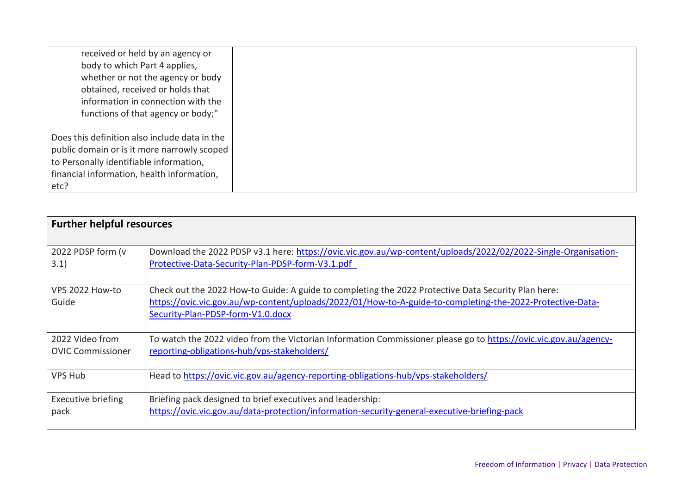| received or held by an agency or              |
|-----------------------------------------------|
| body to which Part 4 applies,                 |
| whether or not the agency or body             |
| obtained, received or holds that              |
| information in connection with the            |
| functions of that agency or body;"            |
|                                               |
| Does this definition also include data in the |
| public domain or is it more narrowly scoped   |
| to Personally identifiable information,       |
| financial information, health information,    |
| etc?                                          |

| <b>Further helpful resources</b> |                                                                                                                                                                    |  |
|----------------------------------|--------------------------------------------------------------------------------------------------------------------------------------------------------------------|--|
| 2022 PDSP form (v<br>3.1)        | Download the 2022 PDSP v3.1 here: https://ovic.vic.gov.au/wp-content/uploads/2022/02/2022-Single-Organisation-<br>Protective-Data-Security-Plan-PDSP-form-V3.1.pdf |  |
|                                  |                                                                                                                                                                    |  |
| VPS 2022 How-to                  | Check out the 2022 How-to Guide: A guide to completing the 2022 Protective Data Security Plan here:                                                                |  |
| Guide                            | https://ovic.vic.gov.au/wp-content/uploads/2022/01/How-to-A-guide-to-completing-the-2022-Protective-Data-                                                          |  |
|                                  | Security-Plan-PDSP-form-V1.0.docx                                                                                                                                  |  |
| 2022 Video from                  | To watch the 2022 video from the Victorian Information Commissioner please go to https://ovic.vic.gov.au/agency-                                                   |  |
| <b>OVIC Commissioner</b>         | reporting-obligations-hub/vps-stakeholders/                                                                                                                        |  |
| <b>VPS Hub</b>                   | Head to https://ovic.vic.gov.au/agency-reporting-obligations-hub/vps-stakeholders/                                                                                 |  |
| <b>Executive briefing</b>        | Briefing pack designed to brief executives and leadership:                                                                                                         |  |
| pack                             | https://ovic.vic.gov.au/data-protection/information-security-general-executive-briefing-pack                                                                       |  |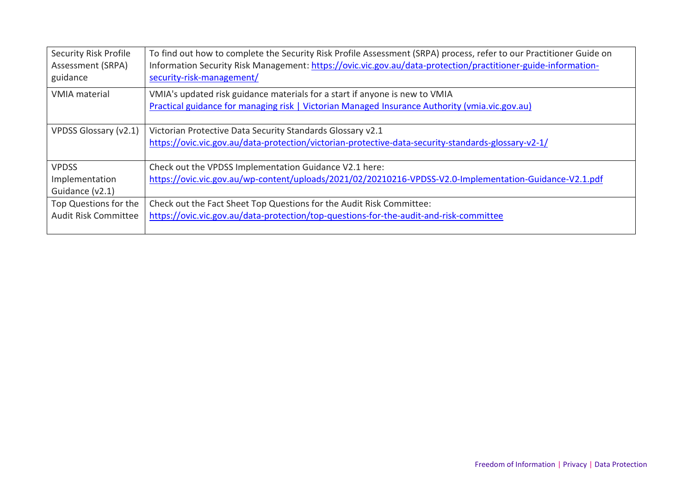| <b>Security Risk Profile</b><br>Assessment (SRPA)<br>guidance | To find out how to complete the Security Risk Profile Assessment (SRPA) process, refer to our Practitioner Guide on<br>Information Security Risk Management: https://ovic.vic.gov.au/data-protection/practitioner-guide-information-<br>security-risk-management/ |
|---------------------------------------------------------------|-------------------------------------------------------------------------------------------------------------------------------------------------------------------------------------------------------------------------------------------------------------------|
| <b>VMIA</b> material                                          | VMIA's updated risk guidance materials for a start if anyone is new to VMIA<br>Practical guidance for managing risk   Victorian Managed Insurance Authority (vmia.vic.gov.au)                                                                                     |
| VPDSS Glossary (v2.1)                                         | Victorian Protective Data Security Standards Glossary v2.1<br>https://ovic.vic.gov.au/data-protection/victorian-protective-data-security-standards-glossary-v2-1/                                                                                                 |
| <b>VPDSS</b>                                                  | Check out the VPDSS Implementation Guidance V2.1 here:                                                                                                                                                                                                            |
| Implementation                                                | https://ovic.vic.gov.au/wp-content/uploads/2021/02/20210216-VPDSS-V2.0-Implementation-Guidance-V2.1.pdf                                                                                                                                                           |
| Guidance (v2.1)                                               |                                                                                                                                                                                                                                                                   |
| Top Questions for the                                         | Check out the Fact Sheet Top Questions for the Audit Risk Committee:                                                                                                                                                                                              |
| <b>Audit Risk Committee</b>                                   | https://ovic.vic.gov.au/data-protection/top-questions-for-the-audit-and-risk-committee                                                                                                                                                                            |